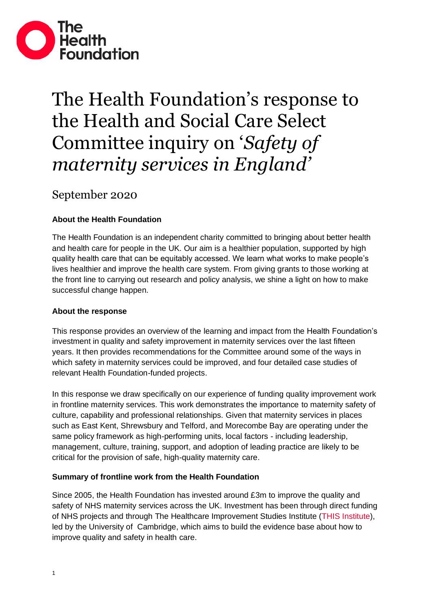

# The Health Foundation's response to the Health and Social Care Select Committee inquiry on '*Safety of maternity services in England'*

September 2020

# **About the Health Foundation**

The Health Foundation is an independent charity committed to bringing about better health and health care for people in the UK. Our aim is a healthier population, supported by high quality health care that can be equitably accessed. We learn what works to make people's lives healthier and improve the health care system. From giving grants to those working at the front line to carrying out research and policy analysis, we shine a light on how to make successful change happen.

# **About the response**

This response provides an overview of the learning and impact from the Health Foundation's investment in quality and safety improvement in maternity services over the last fifteen years. It then provides recommendations for the Committee around some of the ways in which safety in maternity services could be improved, and four detailed case studies of relevant Health Foundation-funded projects.

In this response we draw specifically on our experience of funding quality improvement work in frontline maternity services. This work demonstrates the importance to maternity safety of culture, capability and professional relationships. Given that maternity services in places such as East Kent, Shrewsbury and Telford, and Morecombe Bay are operating under the same policy framework as high-performing units, local factors - including leadership, management, culture, training, support, and adoption of leading practice are likely to be critical for the provision of safe, high-quality maternity care.

# **Summary of frontline work from the Health Foundation**

Since 2005, the Health Foundation has invested around £3m to improve the quality and safety of NHS maternity services across the UK. Investment has been through direct funding of NHS projects and through The Healthcare Improvement Studies Institute [\(THIS Institute\)](https://www.thisinstitute.cam.ac.uk/about/), led by the University of Cambridge, which aims to build the evidence base about how to improve quality and safety in health care.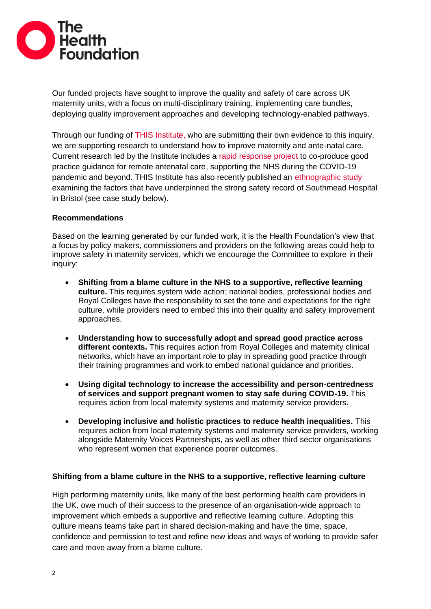

Our funded projects have sought to improve the quality and safety of care across UK maternity units, with a focus on multi-disciplinary training, implementing care bundles, deploying quality improvement approaches and developing technology-enabled pathways.

Through our funding of [THIS Institute,](https://www.thisinstitute.cam.ac.uk/about/) who are submitting their own evidence to this inquiry, we are supporting research to understand how to improve maternity and ante-natal care. Current research led by the Institute includes a [rapid response project](https://www.thisinstitute.cam.ac.uk/research-projects/what-good-looks-like-and-why-for-remote-antenatal-care/) to co-produce good practice guidance for remote antenatal care, supporting the NHS during the COVID-19 pandemic and beyond. THIS Institute has also recently published an [ethnographic study](https://www.thisinstitute.cam.ac.uk/research-projects/replicating-scaling-successful-maternity-safety-improvement-programme/) examining the factors that have underpinned the strong safety record of Southmead Hospital in Bristol (see case study below).

# **Recommendations**

Based on the learning generated by our funded work, it is the Health Foundation's view that a focus by policy makers, commissioners and providers on the following areas could help to improve safety in maternity services, which we encourage the Committee to explore in their inquiry:

- **Shifting from a blame culture in the NHS to a supportive, reflective learning culture.** This requires system wide action; national bodies, professional bodies and Royal Colleges have the responsibility to set the tone and expectations for the right culture, while providers need to embed this into their quality and safety improvement approaches.
- **Understanding how to successfully adopt and spread good practice across different contexts.** This requires action from Royal Colleges and maternity clinical networks, which have an important role to play in spreading good practice through their training programmes and work to embed national guidance and priorities.
- **Using digital technology to increase the accessibility and person-centredness of services and support pregnant women to stay safe during COVID-19.** This requires action from local maternity systems and maternity service providers.
- **Developing inclusive and holistic practices to reduce health inequalities.** This requires action from local maternity systems and maternity service providers, working alongside Maternity Voices Partnerships, as well as other third sector organisations who represent women that experience poorer outcomes.

# **Shifting from a blame culture in the NHS to a supportive, reflective learning culture**

High performing maternity units, like many of the best performing health care providers in the UK, owe much of their success to the presence of an organisation-wide approach to improvement which embeds a supportive and reflective learning culture. Adopting this culture means teams take part in shared decision-making and have the time, space, confidence and permission to test and refine new ideas and ways of working to provide safer care and move away from a blame culture.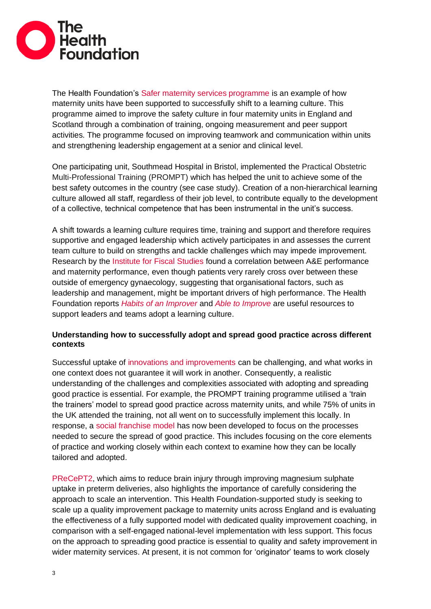

The Health Foundation's [Safer maternity services programme](https://improve.bmj.com/sites/default/files/resources/snapshot_maternity_final.pdf) is an example of how maternity units have been supported to successfully shift to a learning culture. This programme aimed to improve the safety culture in four maternity units in England and Scotland through a combination of training, ongoing measurement and peer support activities. The programme focused on improving teamwork and communication within units and strengthening leadership engagement at a senior and clinical level.

One participating unit, Southmead Hospital in Bristol, implemented the Practical Obstetric Multi-Professional Training (PROMPT) which has helped the unit to achieve some of the best safety outcomes in the country (see case study). Creation of a non-hierarchical learning culture allowed all staff, regardless of their job level, to contribute equally to the development of a collective, technical competence that has been instrumental in the unit's success.

A shift towards a learning culture requires time, training and support and therefore requires supportive and engaged leadership which actively participates in and assesses the current team culture to build on strengths and tackle challenges which may impede improvement. Research by the Institute [for Fiscal Studies](https://www.ifs.org.uk/uploads/publications/bns/BN215.pdf) found a correlation between A&E performance and maternity performance, even though patients very rarely cross over between these outside of emergency gynaecology, suggesting that organisational factors, such as leadership and management, might be important drivers of high performance. The Health Foundation reports *[Habits of an Improver](https://www.health.org.uk/publications/the-habits-of-an-improver)* and *[Able to Improve](https://www.health.org.uk/research-projects/able-to-improve-how-front-line-staff-transform-and-use-quality-improvement-skills)* are useful resources to support leaders and teams adopt a learning culture.

# **Understanding how to successfully adopt and spread good practice across different contexts**

Successful uptake of [innovations and improvements](https://www.health.org.uk/publications/the-spread-challenge) can be challenging, and what works in one context does not guarantee it will work in another. Consequently, a realistic understanding of the challenges and complexities associated with adopting and spreading good practice is essential. For example, the PROMPT training programme utilised a 'train the trainers' model to spread good practice across maternity units, and while 75% of units in the UK attended the training, not all went on to successfully implement this locally. In response, a [social franchise model](https://www.health.org.uk/improvement-projects/developing-a-licensed-social-franchising-model-for-regional-hubs-to-support-and) has now been developed to focus on the processes needed to secure the spread of good practice. This includes focusing on the core elements of practice and working closely within each context to examine how they can be locally tailored and adopted.

[PReCePT2,](https://www.health.org.uk/improvement-projects/precept2-reducing-brain-injury-through-improving-uptake-of-magnesium-sulphate) which aims to reduce brain injury through improving magnesium sulphate uptake in preterm deliveries, also highlights the importance of carefully considering the approach to scale an intervention. This Health Foundation-supported study is seeking to scale up a quality improvement package to maternity units across England and is evaluating the effectiveness of a fully supported model with dedicated quality improvement coaching, in comparison with a self-engaged national-level implementation with less support. This focus on the approach to spreading good practice is essential to quality and safety improvement in wider maternity services. At present, it is not common for 'originator' teams to work closely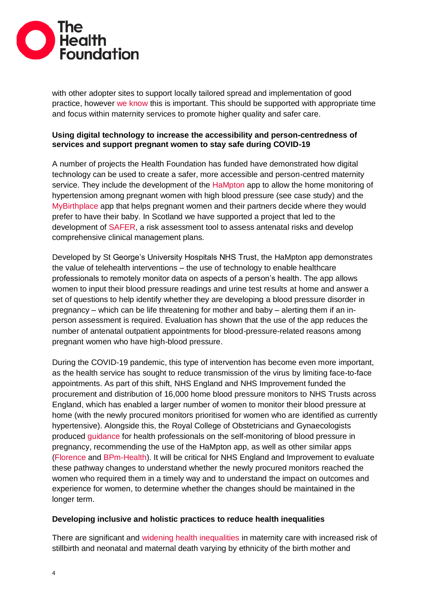

with other adopter sites to support locally tailored spread and implementation of good practice, however [we know](https://www.health.org.uk/publications/the-spread-challenge) this is important. This should be supported with appropriate time and focus within maternity services to promote higher quality and safer care.

# **Using digital technology to increase the accessibility and person-centredness of services and support pregnant women to stay safe during COVID-19**

A number of projects the Health Foundation has funded have demonstrated how digital technology can be used to create a safer, more accessible and person-centred maternity service. They include the development of the [HaMpton](https://www.health.org.uk/improvement-projects/home-monitoring-of-hypertension-in-pregnancy-via-an-innovative-app) app to allow the home monitoring of hypertension among pregnant women with high blood pressure (see case study) and the [MyBirthplace](https://www.health.org.uk/improvement-projects/developing-a-computerised-decision-making-tool-to-help-with-decision-making) app that helps pregnant women and their partners decide where they would prefer to have their baby. In Scotland we have supported a project that led to the development of [SAFER,](https://www.health.org.uk/improvement-projects/maternal-risk-assessment-management-by-and-with-pregnant-women) a risk assessment tool to assess antenatal risks and develop comprehensive clinical management plans.

Developed by St George's University Hospitals NHS Trust, the HaMpton app demonstrates the value of telehealth interventions – the use of technology to enable healthcare professionals to remotely monitor data on aspects of a person's health. The app allows women to input their blood pressure readings and urine test results at home and answer a set of questions to help identify whether they are developing a blood pressure disorder in pregnancy – which can be life threatening for mother and baby – alerting them if an inperson assessment is required. Evaluation has shown that the use of the app reduces the number of antenatal outpatient appointments for blood-pressure-related reasons among pregnant women who have high-blood pressure.

During the COVID-19 pandemic, this type of intervention has become even more important, as the health service has sought to reduce transmission of the virus by limiting face-to-face appointments. As part of this shift, NHS England and NHS Improvement funded the procurement and distribution of 16,000 home blood pressure monitors to NHS Trusts across England, which has enabled a larger number of women to monitor their blood pressure at home (with the newly procured monitors prioritised for women who are identified as currently hypertensive). Alongside this, the Royal College of Obstetricians and Gynaecologists produced [guidance](https://www.rcog.org.uk/globalassets/documents/guidelines/2020-03-30-self-monitoring-of-blood-pressure-in-pregnancy.pdf) for health professionals on the self-monitoring of blood pressure in pregnancy, recommending the use of the HaMpton app, as well as other similar apps [\(Florence](https://www.getflorence.co.uk/) and [BPm-Health\)](https://www.sensynehealth.com/bpm-health). It will be critical for NHS England and Improvement to evaluate these pathway changes to understand whether the newly procured monitors reached the women who required them in a timely way and to understand the impact on outcomes and experience for women, to determine whether the changes should be maintained in the longer term.

# **Developing inclusive and holistic practices to reduce health inequalities**

There are significant and [widening health inequalities](https://www.npeu.ox.ac.uk/assets/downloads/mbrrace-uk/reports/MBRRACE-UK%20Maternal%20Report%202019%20-%20WEB%20VERSION.pdf) in maternity care with increased risk of stillbirth and neonatal and maternal death varying by ethnicity of the birth mother and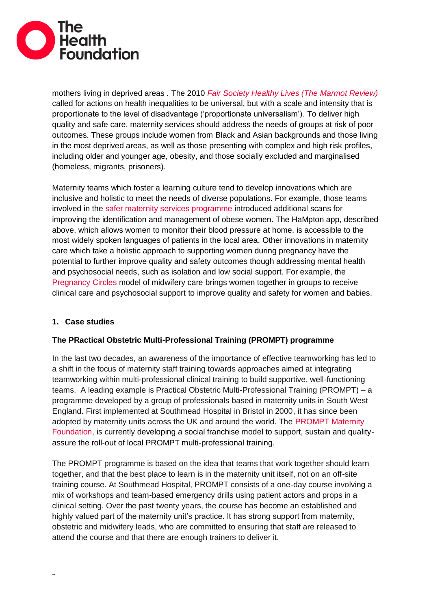

mothers living in deprived areas . The 2010 *Fair Society [Healthy Lives \(The Marmot Review\)](http://www.instituteofhealthequity.org/resources-reports/fair-society-healthy-lives-the-marmot-review/fair-society-healthy-lives-full-report-pdf.pdf)* called for actions on health inequalities to be universal, but with a scale and intensity that is proportionate to the level of disadvantage ('proportionate universalism'). To deliver high quality and safe care, maternity services should address the needs of groups at risk of poor outcomes. These groups include women from Black and Asian backgrounds and those living in the most deprived areas, as well as those presenting with complex and high risk profiles, including older and younger age, obesity, and those socially excluded and marginalised (homeless, migrants, prisoners).

Maternity teams which foster a learning culture tend to develop innovations which are inclusive and holistic to meet the needs of diverse populations. For example, those teams involved in the [safer maternity services programme](https://improve.bmj.com/sites/default/files/resources/snapshot_maternity_final.pdf) introduced additional scans for improving the identification and management of obese women. The HaMpton app, described above, which allows women to monitor their blood pressure at home, is accessible to the most widely spoken languages of patients in the local area. Other innovations in maternity care which take a holistic approach to supporting women during pregnancy have the potential to further improve quality and safety outcomes though addressing mental health and psychosocial needs, such as isolation and low social support. For example, the [Pregnancy Circles](https://www.uel.ac.uk/research/ihhd/reach/reach-pregnancy-programme/pregnancy-circles) model of midwifery care brings women together in groups to receive clinical care and psychosocial support to improve quality and safety for women and babies.

# **1. Case studies**

# **The PRactical Obstetric Multi-Professional Training (PROMPT) programme**

In the last two decades, an awareness of the importance of effective teamworking has led to a shift in the focus of maternity staff training towards approaches aimed at integrating teamworking within multi-professional clinical training to build supportive, well-functioning teams. A leading example is Practical Obstetric Multi-Professional Training (PROMPT) – a programme developed by a group of professionals based in maternity units in South West England. First implemented at Southmead Hospital in Bristol in 2000, it has since been adopted by maternity units across the UK and around the world. The [PROMPT Maternity](https://www.health.org.uk/improvement-projects/developing-a-licensed-social-franchising-model-for-regional-hubs-to-support-and)  [Foundation,](https://www.health.org.uk/improvement-projects/developing-a-licensed-social-franchising-model-for-regional-hubs-to-support-and) is currently developing a social franchise model to support, sustain and qualityassure the roll-out of local PROMPT multi-professional training.

The PROMPT programme is based on the idea that teams that work together should learn together, and that the best place to learn is in the maternity unit itself, not on an off-site training course. At Southmead Hospital, PROMPT consists of a one-day course involving a mix of workshops and team-based emergency drills using patient actors and props in a clinical setting. Over the past twenty years, the course has become an established and highly valued part of the maternity unit's practice. It has strong support from maternity, obstetric and midwifery leads, who are committed to ensuring that staff are released to attend the course and that there are enough trainers to deliver it.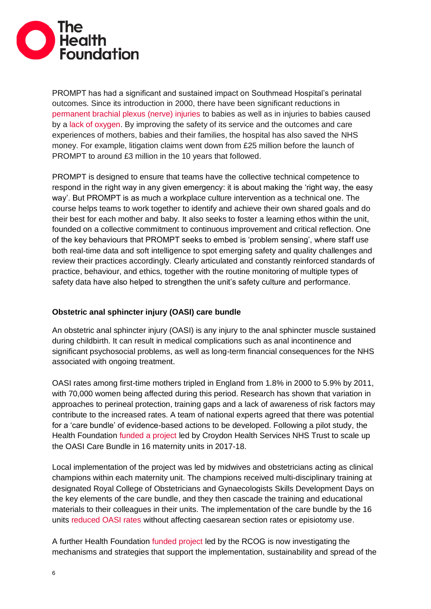

PROMPT has had a significant and sustained impact on Southmead Hospital's perinatal outcomes. Since its introduction in 2000, there have been significant reductions in [permanent brachial plexus \(nerve\) injuries](https://obgyn.onlinelibrary.wiley.com/doi/full/10.1111/1471-0528.13302) to babies as well as in injuries to babies caused by a [lack of oxygen.](https://obgyn.onlinelibrary.wiley.com/doi/pdf/10.1111/j.1471-0528.2006.00800.x) By improving the safety of its service and the outcomes and care experiences of mothers, babies and their families, the hospital has also saved the NHS money. For example, litigation claims went down from £25 million before the launch of PROMPT to around £3 million in the 10 years that followed.

PROMPT is designed to ensure that teams have the collective technical competence to respond in the right way in any given emergency: it is about making the 'right way, the easy way'. But PROMPT is as much a workplace culture intervention as a technical one. The course helps teams to work together to identify and achieve their own shared goals and do their best for each mother and baby. It also seeks to foster a learning ethos within the unit, founded on a collective commitment to continuous improvement and critical reflection. One of the key behaviours that PROMPT seeks to embed is 'problem sensing', where staff use both real-time data and soft intelligence to spot emerging safety and quality challenges and review their practices accordingly. Clearly articulated and constantly reinforced standards of practice, behaviour, and ethics, together with the routine monitoring of multiple types of safety data have also helped to strengthen the unit's safety culture and performance.

# **Obstetric anal sphincter injury (OASI) care bundle**

An obstetric anal sphincter injury (OASI) is any injury to the anal sphincter muscle sustained during childbirth. It can result in medical complications such as anal incontinence and significant psychosocial problems, as well as long-term financial consequences for the NHS associated with ongoing treatment.

OASI rates among first-time mothers tripled in England [from 1.8% in 2000 to 5.9% by 2011,](https://www.ncbi.nlm.nih.gov/pubmed/23834484) with 70,000 women being affected during this period. Research has shown that variation in approaches to perineal protection, training gaps and a lack of awareness of risk factors may contribute to the increased rates. A team of national experts agreed that there was potential for a 'care bundle' of evidence-based actions to be developed. Following a pilot study, the Health Foundation [funded a project](https://www.health.org.uk/improvement-projects/a-multi-centre-quality-improvement-project-to-reduce-the-incidence-of-obstetric) led by Croydon Health Services NHS Trust to scale up the OASI Care Bundle in 16 maternity units in 2017-18.

Local implementation of the project was led by midwives and obstetricians acting as clinical champions within each maternity unit. The champions received multi-disciplinary training at designated Royal College of Obstetricians and Gynaecologists Skills Development Days on the key elements of the care bundle, and they then cascade the training and educational materials to their colleagues in their units. The implementation of the care bundle by the 16 units [reduced OASI rates](https://obgyn.onlinelibrary.wiley.com/doi/full/10.1111/1471-0528.16396) without affecting caesarean section rates or episiotomy use.

A further Health Foundation [funded project](https://www.health.org.uk/funding-and-partnerships/programmes/oasi2-care-bundle) led by the RCOG is now investigating the mechanisms and strategies that support the implementation, sustainability and spread of the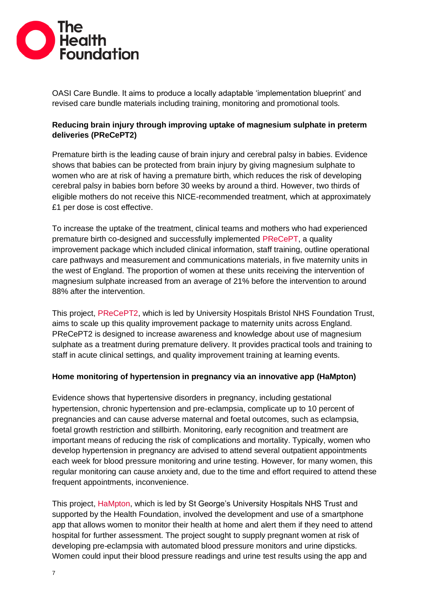

OASI Care Bundle. It aims to produce a locally adaptable 'implementation blueprint' and revised care bundle materials including training, monitoring and promotional tools.

# **Reducing brain injury through improving uptake of magnesium sulphate in preterm deliveries (PReCePT2)**

Premature birth is the leading cause of brain injury and cerebral palsy in babies. Evidence shows that babies can be protected from brain injury by giving magnesium sulphate to women who are at risk of having a premature birth, which reduces the risk of developing cerebral palsy in babies born before 30 weeks by around a third. However, two thirds of eligible mothers do not receive this NICE-recommended treatment, which at approximately £1 per dose is cost effective.

To increase the uptake of the treatment, clinical teams and mothers who had experienced premature birth co-designed and successfully implemented [PReCePT,](https://bmjopenquality.bmj.com/content/6/2/e000189) a quality improvement package which included clinical information, staff training, outline operational care pathways and measurement and communications materials, in five maternity units in the west of England. The proportion of women at these units receiving the intervention of magnesium sulphate increased from an average of 21% before the intervention to around 88% after the intervention.

This project, [PReCePT2,](https://www.health.org.uk/improvement-projects/precept2-reducing-brain-injury-through-improving-uptake-of-magnesium-sulphate) which is led by University Hospitals Bristol NHS Foundation Trust, aims to scale up this quality improvement package to maternity units across England. PReCePT2 is designed to increase awareness and knowledge about use of magnesium sulphate as a treatment during premature delivery. It provides practical tools and training to staff in acute clinical settings, and quality improvement training at learning events.

# **Home monitoring of hypertension in pregnancy via an innovative app (HaMpton)**

Evidence shows that hypertensive disorders in pregnancy, including gestational hypertension, chronic hypertension and pre‐eclampsia, complicate up to 10 percent of pregnancies and can cause adverse maternal and foetal outcomes, such as eclampsia, foetal growth restriction and stillbirth. Monitoring, early recognition and treatment are important means of reducing the risk of complications and mortality. Typically, women who develop hypertension in pregnancy are advised to attend several outpatient appointments each week for blood pressure monitoring and urine testing. However, for many women, this regular monitoring can cause anxiety and, due to the time and effort required to attend these frequent appointments, inconvenience.

This project, [HaMpton,](https://www.health.org.uk/improvement-projects/home-monitoring-of-hypertension-in-pregnancy-via-an-innovative-app) which is led by St George's University Hospitals NHS Trust and supported by the Health Foundation, involved the development and use of a smartphone app that allows women to monitor their health at home and alert them if they need to attend hospital for further assessment. The project sought to supply pregnant women at risk of developing pre-eclampsia with automated blood pressure monitors and urine dipsticks. Women could input their blood pressure readings and urine test results using the app and